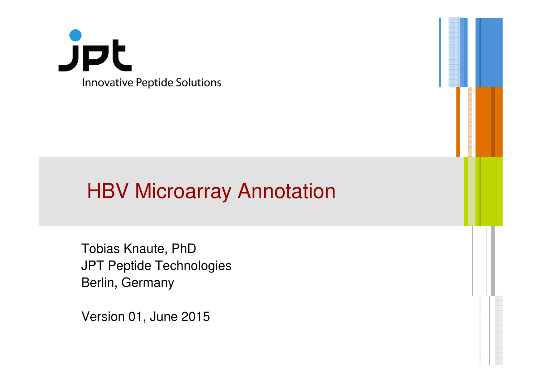

## **HBV Microarray Annotation**

Tobias Knaute, PhD JPT Peptide TechnologiesBerlin, Germany

Version 01, June 2015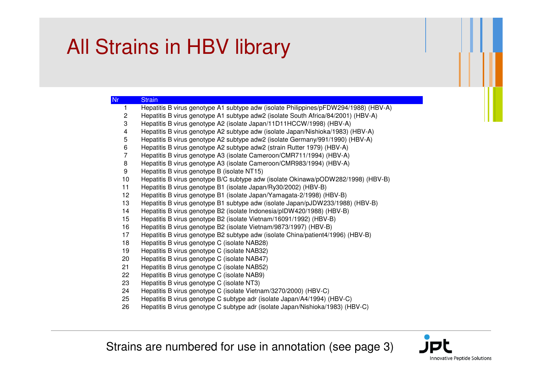## All Strains in HBV library

| Nr.             | <b>Strain</b>                                                                        |
|-----------------|--------------------------------------------------------------------------------------|
|                 | Hepatitis B virus genotype A1 subtype adw (isolate Philippines/pFDW294/1988) (HBV-A) |
| $\overline{2}$  | Hepatitis B virus genotype A1 subtype adw2 (isolate South Africa/84/2001) (HBV-A)    |
| 3               | Hepatitis B virus genotype A2 (isolate Japan/11D11HCCW/1998) (HBV-A)                 |
| 4               | Hepatitis B virus genotype A2 subtype adw (isolate Japan/Nishioka/1983) (HBV-A)      |
| 5               | Hepatitis B virus genotype A2 subtype adw2 (isolate Germany/991/1990) (HBV-A)        |
| 6               | Hepatitis B virus genotype A2 subtype adw2 (strain Rutter 1979) (HBV-A)              |
| 7               | Hepatitis B virus genotype A3 (isolate Cameroon/CMR711/1994) (HBV-A)                 |
| 8               | Hepatitis B virus genotype A3 (isolate Cameroon/CMR983/1994) (HBV-A)                 |
| 9               | Hepatitis B virus genotype B (isolate NT15)                                          |
| 10              | Hepatitis B virus genotype B/C subtype adw (isolate Okinawa/pODW282/1998) (HBV-B)    |
| 11              | Hepatitis B virus genotype B1 (isolate Japan/Ry30/2002) (HBV-B)                      |
| 12 <sub>2</sub> | Hepatitis B virus genotype B1 (isolate Japan/Yamagata-2/1998) (HBV-B)                |
| 13              | Hepatitis B virus genotype B1 subtype adw (isolate Japan/pJDW233/1988) (HBV-B)       |
| 14              | Hepatitis B virus genotype B2 (isolate Indonesia/pIDW420/1988) (HBV-B)               |
| 15              | Hepatitis B virus genotype B2 (isolate Vietnam/16091/1992) (HBV-B)                   |
| 16              | Hepatitis B virus genotype B2 (isolate Vietnam/9873/1997) (HBV-B)                    |
| 17              | Hepatitis B virus genotype B2 subtype adw (isolate China/patient4/1996) (HBV-B)      |
| 18              | Hepatitis B virus genotype C (isolate NAB28)                                         |
| 19              | Hepatitis B virus genotype C (isolate NAB32)                                         |
| 20              | Hepatitis B virus genotype C (isolate NAB47)                                         |
| 21              | Hepatitis B virus genotype C (isolate NAB52)                                         |
| 22              | Hepatitis B virus genotype C (isolate NAB9)                                          |
| 23              | Hepatitis B virus genotype C (isolate NT3)                                           |
| 24              | Hepatitis B virus genotype C (isolate Vietnam/3270/2000) (HBV-C)                     |
| 25              | Hepatitis B virus genotype C subtype adr (isolate Japan/A4/1994) (HBV-C)             |
| ne.             | Llenetitie Dudune senetuse O euktuse esk (ieelete, lenen (hiebieles (1000), (LIDV O) |

Hepatitis B virus genotype C subtype adr (isolate Japan/Nishioka/1983) (HBV-C)

Strains are numbered for use in annotation (see page 3)

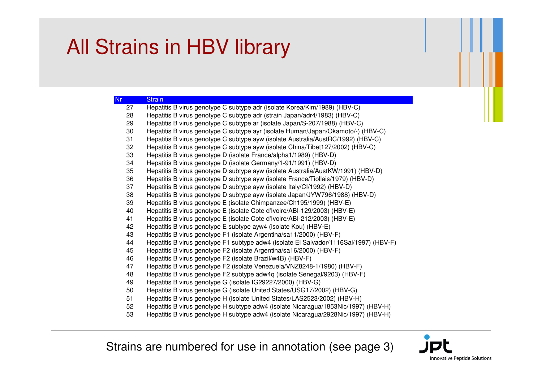## All Strains in HBV library

| <b>Nr</b> | <b>Strain</b>                                                                         |
|-----------|---------------------------------------------------------------------------------------|
| 27        | Hepatitis B virus genotype C subtype adr (isolate Korea/Kim/1989) (HBV-C)             |
| 28        | Hepatitis B virus genotype C subtype adr (strain Japan/adr4/1983) (HBV-C)             |
| 29        | Hepatitis B virus genotype C subtype ar (isolate Japan/S-207/1988) (HBV-C)            |
| 30        | Hepatitis B virus genotype C subtype ayr (isolate Human/Japan/Okamoto/-) (HBV-C)      |
| 31        | Hepatitis B virus genotype C subtype ayw (isolate Australia/AustRC/1992) (HBV-C)      |
| 32        | Hepatitis B virus genotype C subtype ayw (isolate China/Tibet127/2002) (HBV-C)        |
| 33        | Hepatitis B virus genotype D (isolate France/alpha1/1989) (HBV-D)                     |
| 34        | Hepatitis B virus genotype D (isolate Germany/1-91/1991) (HBV-D)                      |
| 35        | Hepatitis B virus genotype D subtype ayw (isolate Australia/AustKW/1991) (HBV-D)      |
| 36        | Hepatitis B virus genotype D subtype ayw (isolate France/Tiollais/1979) (HBV-D)       |
| 37        | Hepatitis B virus genotype D subtype ayw (isolate Italy/Cl/1992) (HBV-D)              |
| 38        | Hepatitis B virus genotype D subtype ayw (isolate Japan/JYW796/1988) (HBV-D)          |
| 39        | Hepatitis B virus genotype E (isolate Chimpanzee/Ch195/1999) (HBV-E)                  |
| 40        | Hepatitis B virus genotype E (isolate Cote d'Ivoire/ABI-129/2003) (HBV-E)             |
| 41        | Hepatitis B virus genotype E (isolate Cote d'Ivoire/ABI-212/2003) (HBV-E)             |
| 42        | Hepatitis B virus genotype E subtype ayw4 (isolate Kou) (HBV-E)                       |
| 43        | Hepatitis B virus genotype F1 (isolate Argentina/sa11/2000) (HBV-F)                   |
| 44        | Hepatitis B virus genotype F1 subtype adw4 (isolate El Salvador/1116Sal/1997) (HBV-F) |
| 45        | Hepatitis B virus genotype F2 (isolate Argentina/sa16/2000) (HBV-F)                   |
| 46        | Hepatitis B virus genotype F2 (isolate Brazil/w4B) (HBV-F)                            |
| 47        | Hepatitis B virus genotype F2 (isolate Venezuela/VNZ8248-1/1980) (HBV-F)              |
| 48        | Hepatitis B virus genotype F2 subtype adw4q (isolate Senegal/9203) (HBV-F)            |
| 49        | Hepatitis B virus genotype G (isolate IG29227/2000) (HBV-G)                           |
| 50        | Hepatitis B virus genotype G (isolate United States/USG17/2002) (HBV-G)               |
| 51        | Hepatitis B virus genotype H (isolate United States/LAS2523/2002) (HBV-H)             |
| 52        | Hepatitis B virus genotype H subtype adw4 (isolate Nicaragua/1853Nic/1997) (HBV-H)    |

Hepatitis B virus genotype H subtype adw4 (isolate Nicaragua/2928Nic/1997) (HBV-H)

Strains are numbered for use in annotation (see page 3)

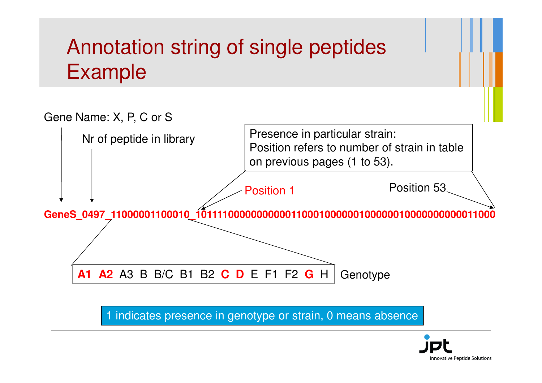## Annotation string of single peptidesExample



1 indicates presence in genotype or strain, 0 means absence